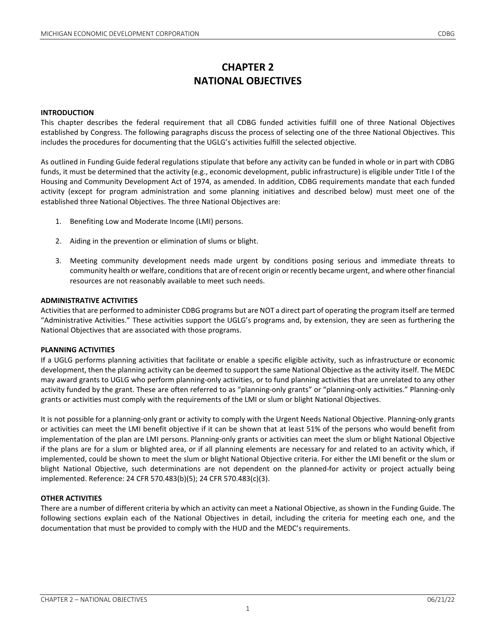# **CHAPTER 2 NATIONAL OBJECTIVES**

## **INTRODUCTION**

This chapter describes the federal requirement that all CDBG funded activities fulfill one of three National Objectives established by Congress. The following paragraphs discuss the process of selecting one of the three National Objectives. This includes the procedures for documenting that the UGLG's activities fulfill the selected objective.

As outlined in Funding Guide federal regulations stipulate that before any activity can be funded in whole or in part with CDBG funds, it must be determined that the activity (e.g., economic development, public infrastructure) is eligible under Title I of the Housing and Community Development Act of 1974, as amended. In addition, CDBG requirements mandate that each funded activity (except for program administration and some planning initiatives and described below) must meet one of the established three National Objectives. The three National Objectives are:

- 1. Benefiting Low and Moderate Income (LMI) persons.
- 2. Aiding in the prevention or elimination of slums or blight.
- 3. Meeting community development needs made urgent by conditions posing serious and immediate threats to community health or welfare, conditions that are of recent origin or recently became urgent, and where other financial resources are not reasonably available to meet such needs.

#### **ADMINISTRATIVE ACTIVITIES**

Activities that are performed to administer CDBG programs but are NOT a direct part of operating the program itself are termed "Administrative Activities." These activities support the UGLG's programs and, by extension, they are seen as furthering the National Objectives that are associated with those programs.

#### **PLANNING ACTIVITIES**

If a UGLG performs planning activities that facilitate or enable a specific eligible activity, such as infrastructure or economic development, then the planning activity can be deemed to support the same National Objective as the activity itself. The MEDC may award grants to UGLG who perform planning-only activities, or to fund planning activities that are unrelated to any other activity funded by the grant. These are often referred to as "planning-only grants" or "planning-only activities." Planning-only grants or activities must comply with the requirements of the LMI or slum or blight National Objectives.

It is not possible for a planning-only grant or activity to comply with the Urgent Needs National Objective. Planning-only grants or activities can meet the LMI benefit objective if it can be shown that at least 51% of the persons who would benefit from implementation of the plan are LMI persons. Planning-only grants or activities can meet the slum or blight National Objective if the plans are for a slum or blighted area, or if all planning elements are necessary for and related to an activity which, if implemented, could be shown to meet the slum or blight National Objective criteria. For either the LMI benefit or the slum or blight National Objective, such determinations are not dependent on the planned-for activity or project actually being implemented. Reference: 24 CFR 570.483(b)(5); 24 CFR 570.483(c)(3).

## **OTHER ACTIVITIES**

There are a number of different criteria by which an activity can meet a National Objective, as shown in the Funding Guide. The following sections explain each of the National Objectives in detail, including the criteria for meeting each one, and the documentation that must be provided to comply with the HUD and the MEDC's requirements.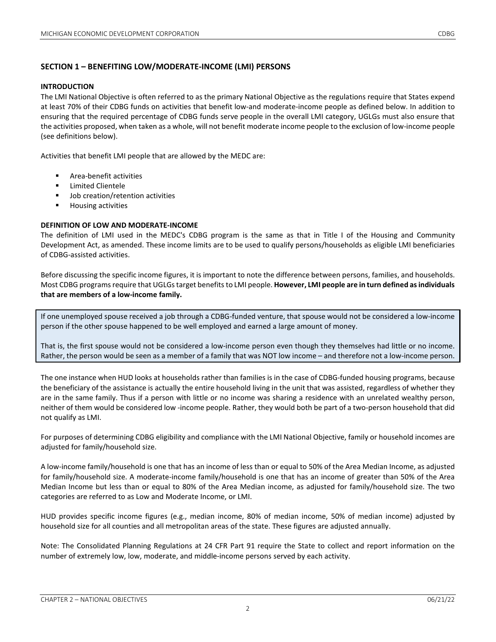## **SECTION 1 – BENEFITING LOW/MODERATE-INCOME (LMI) PERSONS**

#### **INTRODUCTION**

The LMI National Objective is often referred to as the primary National Objective as the regulations require that States expend at least 70% of their CDBG funds on activities that benefit low-and moderate-income people as defined below. In addition to ensuring that the required percentage of CDBG funds serve people in the overall LMI category, UGLGs must also ensure that the activities proposed, when taken as a whole, will not benefit moderate income people to the exclusion of low-income people (see definitions below).

Activities that benefit LMI people that are allowed by the MEDC are:

- Area-benefit activities
- **E** Limited Clientele
- Job creation/retention activities
- **Housing activities**

#### **DEFINITION OF LOW AND MODERATE-INCOME**

The definition of LMI used in the MEDC's CDBG program is the same as that in Title I of the Housing and Community Development Act, as amended. These income limits are to be used to qualify persons/households as eligible LMI beneficiaries of CDBG-assisted activities.

Before discussing the specific income figures, it is important to note the difference between persons, families, and households. Most CDBG programs require that UGLGstarget benefits to LMI people. **However, LMI people are in turn defined as individuals that are members of a low-income family.**

If one unemployed spouse received a job through a CDBG-funded venture, that spouse would not be considered a low-income person if the other spouse happened to be well employed and earned a large amount of money.

That is, the first spouse would not be considered a low-income person even though they themselves had little or no income. Rather, the person would be seen as a member of a family that was NOT low income – and therefore not a low-income person.

The one instance when HUD looks at households rather than families is in the case of CDBG-funded housing programs, because the beneficiary of the assistance is actually the entire household living in the unit that was assisted, regardless of whether they are in the same family. Thus if a person with little or no income was sharing a residence with an unrelated wealthy person, neither of them would be considered low -income people. Rather, they would both be part of a two-person household that did not qualify as LMI.

For purposes of determining CDBG eligibility and compliance with the LMI National Objective, family or household incomes are adjusted for family/household size.

A low-income family/household is one that has an income of less than or equal to 50% of the Area Median Income, as adjusted for family/household size. A moderate-income family/household is one that has an income of greater than 50% of the Area Median Income but less than or equal to 80% of the Area Median income, as adjusted for family/household size. The two categories are referred to as Low and Moderate Income, or LMI.

HUD provides specific income figures (e.g., median income, 80% of median income, 50% of median income) adjusted by household size for all counties and all metropolitan areas of the state. These figures are adjusted annually.

Note: The Consolidated Planning Regulations at 24 CFR Part 91 require the State to collect and report information on the number of extremely low, low, moderate, and middle-income persons served by each activity.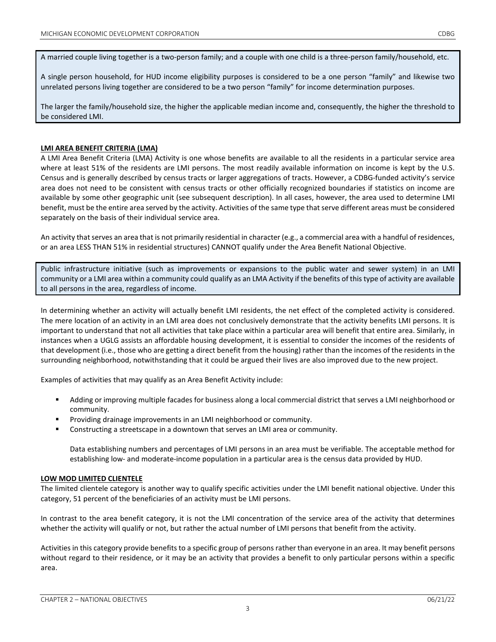A married couple living together is a two-person family; and a couple with one child is a three-person family/household, etc.

A single person household, for HUD income eligibility purposes is considered to be a one person "family" and likewise two unrelated persons living together are considered to be a two person "family" for income determination purposes.

The larger the family/household size, the higher the applicable median income and, consequently, the higher the threshold to be considered LMI.

#### **LMI AREA BENEFIT CRITERIA (LMA)**

A LMI Area Benefit Criteria (LMA) Activity is one whose benefits are available to all the residents in a particular service area where at least 51% of the residents are LMI persons. The most readily available information on income is kept by the U.S. Census and is generally described by census tracts or larger aggregations of tracts. However, a CDBG-funded activity's service area does not need to be consistent with census tracts or other officially recognized boundaries if statistics on income are available by some other geographic unit (see subsequent description). In all cases, however, the area used to determine LMI benefit, must be the entire area served by the activity. Activities of the same type that serve different areas must be considered separately on the basis of their individual service area.

An activity that serves an area that is not primarily residential in character (e.g., a commercial area with a handful of residences, or an area LESS THAN 51% in residential structures) CANNOT qualify under the Area Benefit National Objective.

Public infrastructure initiative (such as improvements or expansions to the public water and sewer system) in an LMI community or a LMI area within a community could qualify as an LMA Activity if the benefits of this type of activity are available to all persons in the area, regardless of income.

In determining whether an activity will actually benefit LMI residents, the net effect of the completed activity is considered. The mere location of an activity in an LMI area does not conclusively demonstrate that the activity benefits LMI persons. It is important to understand that not all activities that take place within a particular area will benefit that entire area. Similarly, in instances when a UGLG assists an affordable housing development, it is essential to consider the incomes of the residents of that development (i.e., those who are getting a direct benefit from the housing) rather than the incomes of the residents in the surrounding neighborhood, notwithstanding that it could be argued their lives are also improved due to the new project.

Examples of activities that may qualify as an Area Benefit Activity include:

- Adding or improving multiple facades for business along a local commercial district that serves a LMI neighborhood or community.
- Providing drainage improvements in an LMI neighborhood or community.
- Constructing a streetscape in a downtown that serves an LMI area or community.

Data establishing numbers and percentages of LMI persons in an area must be verifiable. The acceptable method for establishing low- and moderate-income population in a particular area is the census data provided by HUD.

#### **LOW MOD LIMITED CLIENTELE**

The limited clientele category is another way to qualify specific activities under the LMI benefit national objective. Under this category, 51 percent of the beneficiaries of an activity must be LMI persons.

In contrast to the area benefit category, it is not the LMI concentration of the service area of the activity that determines whether the activity will qualify or not, but rather the actual number of LMI persons that benefit from the activity.

Activities in this category provide benefits to a specific group of persons rather than everyone in an area. It may benefit persons without regard to their residence, or it may be an activity that provides a benefit to only particular persons within a specific area.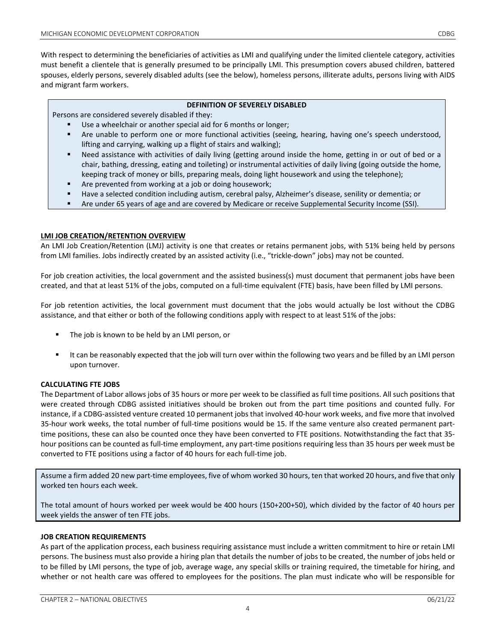With respect to determining the beneficiaries of activities as LMI and qualifying under the limited clientele category, activities must benefit a clientele that is generally presumed to be principally LMI. This presumption covers abused children, battered spouses, elderly persons, severely disabled adults (see the below), homeless persons, illiterate adults, persons living with AIDS and migrant farm workers.

#### **DEFINITION OF SEVERELY DISABLED**

Persons are considered severely disabled if they:

- Use a wheelchair or another special aid for 6 months or longer;
- Are unable to perform one or more functional activities (seeing, hearing, having one's speech understood, lifting and carrying, walking up a flight of stairs and walking);
- Need assistance with activities of daily living (getting around inside the home, getting in or out of bed or a chair, bathing, dressing, eating and toileting) or instrumental activities of daily living (going outside the home, keeping track of money or bills, preparing meals, doing light housework and using the telephone);
- Are prevented from working at a job or doing housework;
- Have a selected condition including autism, cerebral palsy, Alzheimer's disease, senility or dementia; or
- Are under 65 years of age and are covered by Medicare or receive Supplemental Security Income (SSI).

#### **LMI JOB CREATION/RETENTION OVERVIEW**

An LMI Job Creation/Retention (LMJ) activity is one that creates or retains permanent jobs, with 51% being held by persons from LMI families. Jobs indirectly created by an assisted activity (i.e., "trickle-down" jobs) may not be counted.

For job creation activities, the local government and the assisted business(s) must document that permanent jobs have been created, and that at least 51% of the jobs, computed on a full-time equivalent (FTE) basis, have been filled by LMI persons.

For job retention activities, the local government must document that the jobs would actually be lost without the CDBG assistance, and that either or both of the following conditions apply with respect to at least 51% of the jobs:

- The job is known to be held by an LMI person, or
- It can be reasonably expected that the job will turn over within the following two years and be filled by an LMI person upon turnover.

#### **CALCULATING FTE JOBS**

The Department of Labor allows jobs of 35 hours or more per week to be classified as full time positions. All such positions that were created through CDBG assisted initiatives should be broken out from the part time positions and counted fully. For instance, if a CDBG-assisted venture created 10 permanent jobs that involved 40-hour work weeks, and five more that involved 35-hour work weeks, the total number of full-time positions would be 15. If the same venture also created permanent parttime positions, these can also be counted once they have been converted to FTE positions. Notwithstanding the fact that 35 hour positions can be counted as full-time employment, any part-time positions requiring less than 35 hours per week must be converted to FTE positions using a factor of 40 hours for each full-time job.

Assume a firm added 20 new part-time employees, five of whom worked 30 hours, ten that worked 20 hours, and five that only worked ten hours each week.

The total amount of hours worked per week would be 400 hours (150+200+50), which divided by the factor of 40 hours per week yields the answer of ten FTE jobs.

#### **JOB CREATION REQUIREMENTS**

As part of the application process, each business requiring assistance must include a written commitment to hire or retain LMI persons. The business must also provide a hiring plan that details the number of jobs to be created, the number of jobs held or to be filled by LMI persons, the type of job, average wage, any special skills or training required, the timetable for hiring, and whether or not health care was offered to employees for the positions. The plan must indicate who will be responsible for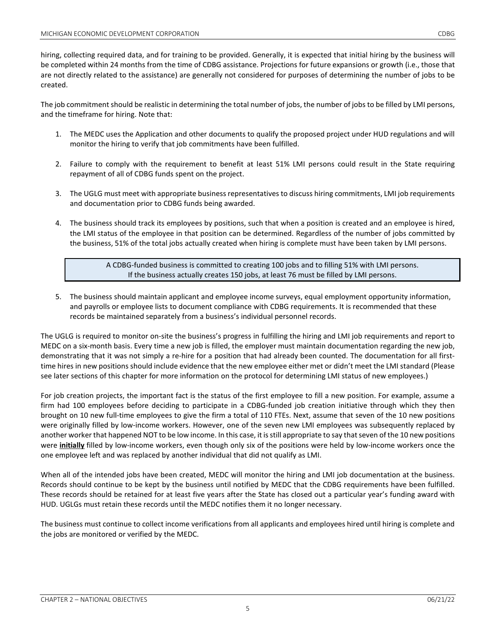hiring, collecting required data, and for training to be provided. Generally, it is expected that initial hiring by the business will be completed within 24 months from the time of CDBG assistance. Projections for future expansions or growth (i.e., those that are not directly related to the assistance) are generally not considered for purposes of determining the number of jobs to be created.

The job commitment should be realistic in determining the total number of jobs, the number of jobs to be filled by LMI persons, and the timeframe for hiring. Note that:

- 1. The MEDC uses the Application and other documents to qualify the proposed project under HUD regulations and will monitor the hiring to verify that job commitments have been fulfilled.
- 2. Failure to comply with the requirement to benefit at least 51% LMI persons could result in the State requiring repayment of all of CDBG funds spent on the project.
- 3. The UGLG must meet with appropriate business representatives to discuss hiring commitments, LMI job requirements and documentation prior to CDBG funds being awarded.
- 4. The business should track its employees by positions, such that when a position is created and an employee is hired, the LMI status of the employee in that position can be determined. Regardless of the number of jobs committed by the business, 51% of the total jobs actually created when hiring is complete must have been taken by LMI persons.

A CDBG-funded business is committed to creating 100 jobs and to filling 51% with LMI persons. If the business actually creates 150 jobs, at least 76 must be filled by LMI persons.

5. The business should maintain applicant and employee income surveys, equal employment opportunity information, and payrolls or employee lists to document compliance with CDBG requirements. It is recommended that these records be maintained separately from a business's individual personnel records.

The UGLG is required to monitor on-site the business's progress in fulfilling the hiring and LMI job requirements and report to MEDC on a six-month basis. Every time a new job is filled, the employer must maintain documentation regarding the new job, demonstrating that it was not simply a re-hire for a position that had already been counted. The documentation for all firsttime hires in new positions should include evidence that the new employee either met or didn't meet the LMI standard (Please see later sections of this chapter for more information on the protocol for determining LMI status of new employees.)

For job creation projects, the important fact is the status of the first employee to fill a new position. For example, assume a firm had 100 employees before deciding to participate in a CDBG-funded job creation initiative through which they then brought on 10 new full-time employees to give the firm a total of 110 FTEs. Next, assume that seven of the 10 new positions were originally filled by low-income workers. However, one of the seven new LMI employees was subsequently replaced by another worker that happened NOT to be low income. In this case, it is still appropriate to say that seven of the 10 new positions were **initially** filled by low-income workers, even though only six of the positions were held by low-income workers once the one employee left and was replaced by another individual that did not qualify as LMI.

When all of the intended jobs have been created, MEDC will monitor the hiring and LMI job documentation at the business. Records should continue to be kept by the business until notified by MEDC that the CDBG requirements have been fulfilled. These records should be retained for at least five years after the State has closed out a particular year's funding award with HUD. UGLGs must retain these records until the MEDC notifies them it no longer necessary.

The business must continue to collect income verifications from all applicants and employees hired until hiring is complete and the jobs are monitored or verified by the MEDC.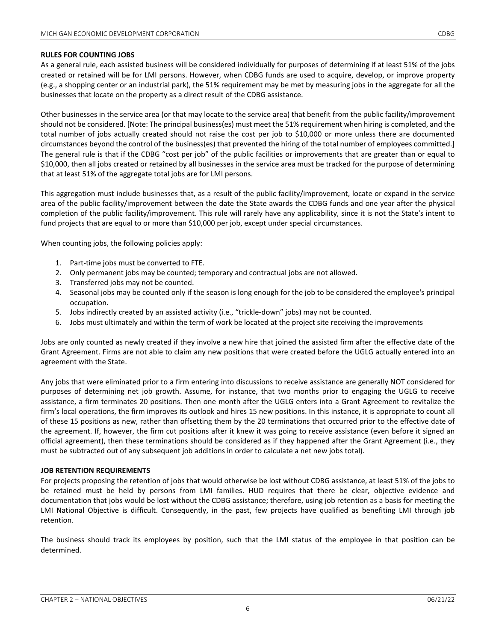#### **RULES FOR COUNTING JOBS**

As a general rule, each assisted business will be considered individually for purposes of determining if at least 51% of the jobs created or retained will be for LMI persons. However, when CDBG funds are used to acquire, develop, or improve property (e.g., a shopping center or an industrial park), the 51% requirement may be met by measuring jobs in the aggregate for all the businesses that locate on the property as a direct result of the CDBG assistance.

Other businesses in the service area (or that may locate to the service area) that benefit from the public facility/improvement should not be considered. [Note: The principal business(es) must meet the 51% requirement when hiring is completed, and the total number of jobs actually created should not raise the cost per job to \$10,000 or more unless there are documented circumstances beyond the control of the business(es) that prevented the hiring of the total number of employees committed.] The general rule is that if the CDBG "cost per job" of the public facilities or improvements that are greater than or equal to \$10,000, then all jobs created or retained by all businesses in the service area must be tracked for the purpose of determining that at least 51% of the aggregate total jobs are for LMI persons.

This aggregation must include businesses that, as a result of the public facility/improvement, locate or expand in the service area of the public facility/improvement between the date the State awards the CDBG funds and one year after the physical completion of the public facility/improvement. This rule will rarely have any applicability, since it is not the State's intent to fund projects that are equal to or more than \$10,000 per job, except under special circumstances.

When counting jobs, the following policies apply:

- 1. Part-time jobs must be converted to FTE.
- 2. Only permanent jobs may be counted; temporary and contractual jobs are not allowed.
- 3. Transferred jobs may not be counted.
- 4. Seasonal jobs may be counted only if the season is long enough for the job to be considered the employee's principal occupation.
- 5. Jobs indirectly created by an assisted activity (i.e., "trickle-down" jobs) may not be counted.
- 6. Jobs must ultimately and within the term of work be located at the project site receiving the improvements

Jobs are only counted as newly created if they involve a new hire that joined the assisted firm after the effective date of the Grant Agreement. Firms are not able to claim any new positions that were created before the UGLG actually entered into an agreement with the State.

Any jobs that were eliminated prior to a firm entering into discussions to receive assistance are generally NOT considered for purposes of determining net job growth. Assume, for instance, that two months prior to engaging the UGLG to receive assistance, a firm terminates 20 positions. Then one month after the UGLG enters into a Grant Agreement to revitalize the firm's local operations, the firm improves its outlook and hires 15 new positions. In this instance, it is appropriate to count all of these 15 positions as new, rather than offsetting them by the 20 terminations that occurred prior to the effective date of the agreement. If, however, the firm cut positions after it knew it was going to receive assistance (even before it signed an official agreement), then these terminations should be considered as if they happened after the Grant Agreement (i.e., they must be subtracted out of any subsequent job additions in order to calculate a net new jobs total).

#### **JOB RETENTION REQUIREMENTS**

For projects proposing the retention of jobs that would otherwise be lost without CDBG assistance, at least 51% of the jobs to be retained must be held by persons from LMI families. HUD requires that there be clear, objective evidence and documentation that jobs would be lost without the CDBG assistance; therefore, using job retention as a basis for meeting the LMI National Objective is difficult. Consequently, in the past, few projects have qualified as benefiting LMI through job retention.

The business should track its employees by position, such that the LMI status of the employee in that position can be determined.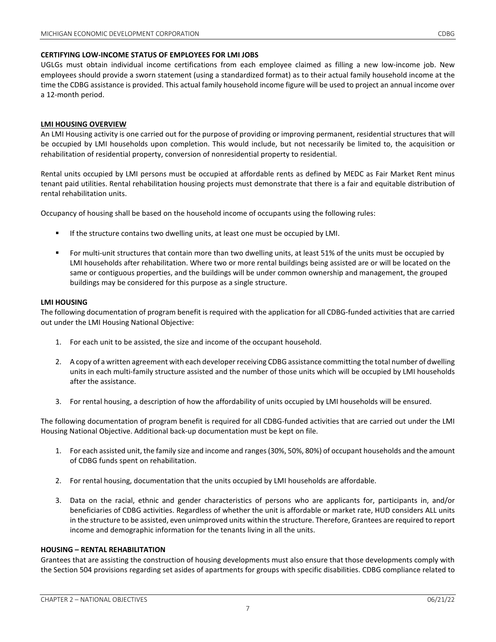UGLGs must obtain individual income certifications from each employee claimed as filling a new low-income job. New employees should provide a sworn statement (using a standardized format) as to their actual family household income at the time the CDBG assistance is provided. This actual family household income figure will be used to project an annual income over a 12-month period.

#### **LMI HOUSING OVERVIEW**

An LMI Housing activity is one carried out for the purpose of providing or improving permanent, residential structures that will be occupied by LMI households upon completion. This would include, but not necessarily be limited to, the acquisition or rehabilitation of residential property, conversion of nonresidential property to residential.

Rental units occupied by LMI persons must be occupied at affordable rents as defined by MEDC as Fair Market Rent minus tenant paid utilities. Rental rehabilitation housing projects must demonstrate that there is a fair and equitable distribution of rental rehabilitation units.

Occupancy of housing shall be based on the household income of occupants using the following rules:

- If the structure contains two dwelling units, at least one must be occupied by LMI.
- For multi-unit structures that contain more than two dwelling units, at least 51% of the units must be occupied by LMI households after rehabilitation. Where two or more rental buildings being assisted are or will be located on the same or contiguous properties, and the buildings will be under common ownership and management, the grouped buildings may be considered for this purpose as a single structure.

## **LMI HOUSING**

The following documentation of program benefit is required with the application for all CDBG-funded activities that are carried out under the LMI Housing National Objective:

- 1. For each unit to be assisted, the size and income of the occupant household.
- 2. A copy of a written agreement with each developer receiving CDBG assistance committing the total number of dwelling units in each multi-family structure assisted and the number of those units which will be occupied by LMI households after the assistance.
- 3. For rental housing, a description of how the affordability of units occupied by LMI households will be ensured.

The following documentation of program benefit is required for all CDBG-funded activities that are carried out under the LMI Housing National Objective. Additional back-up documentation must be kept on file.

- 1. For each assisted unit, the family size and income and ranges (30%, 50%, 80%) of occupant households and the amount of CDBG funds spent on rehabilitation.
- 2. For rental housing, documentation that the units occupied by LMI households are affordable.
- 3. Data on the racial, ethnic and gender characteristics of persons who are applicants for, participants in, and/or beneficiaries of CDBG activities. Regardless of whether the unit is affordable or market rate, HUD considers ALL units in the structure to be assisted, even unimproved units within the structure. Therefore, Grantees are required to report income and demographic information for the tenants living in all the units.

#### **HOUSING – RENTAL REHABILITATION**

Grantees that are assisting the construction of housing developments must also ensure that those developments comply with the Section 504 provisions regarding set asides of apartments for groups with specific disabilities. CDBG compliance related to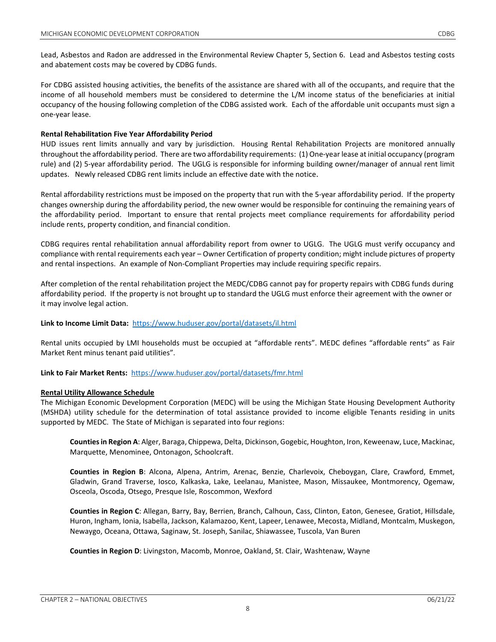Lead, Asbestos and Radon are addressed in the Environmental Review Chapter 5, Section 6. Lead and Asbestos testing costs and abatement costs may be covered by CDBG funds.

For CDBG assisted housing activities, the benefits of the assistance are shared with all of the occupants, and require that the income of all household members must be considered to determine the L/M income status of the beneficiaries at initial occupancy of the housing following completion of the CDBG assisted work. Each of the affordable unit occupants must sign a one-year lease.

## **Rental Rehabilitation Five Year Affordability Period**

HUD issues rent limits annually and vary by jurisdiction. Housing Rental Rehabilitation Projects are monitored annually throughout the affordability period. There are two affordability requirements: (1) One-year lease at initial occupancy (program rule) and (2) 5-year affordability period. The UGLG is responsible for informing building owner/manager of annual rent limit updates. Newly released CDBG rent limits include an effective date with the notice.

Rental affordability restrictions must be imposed on the property that run with the 5-year affordability period. If the property changes ownership during the affordability period, the new owner would be responsible for continuing the remaining years of the affordability period. Important to ensure that rental projects meet compliance requirements for affordability period include rents, property condition, and financial condition.

CDBG requires rental rehabilitation annual affordability report from owner to UGLG. The UGLG must verify occupancy and compliance with rental requirements each year – Owner Certification of property condition; might include pictures of property and rental inspections. An example of Non-Compliant Properties may include requiring specific repairs.

After completion of the rental rehabilitation project the MEDC/CDBG cannot pay for property repairs with CDBG funds during affordability period. If the property is not brought up to standard the UGLG must enforce their agreement with the owner or it may involve legal action.

## **Link to Income Limit Data:** <https://www.huduser.gov/portal/datasets/il.html>

Rental units occupied by LMI households must be occupied at "affordable rents". MEDC defines "affordable rents" as Fair Market Rent minus tenant paid utilities".

#### **Link to Fair Market Rents:** <https://www.huduser.gov/portal/datasets/fmr.html>

#### **Rental Utility Allowance Schedule**

The Michigan Economic Development Corporation (MEDC) will be using the Michigan State Housing Development Authority (MSHDA) utility schedule for the determination of total assistance provided to income eligible Tenants residing in units supported by MEDC. The State of Michigan is separated into four regions:

**Counties in Region A**: Alger, Baraga, Chippewa, Delta, Dickinson, Gogebic, Houghton, Iron, Keweenaw, Luce, Mackinac, Marquette, Menominee, Ontonagon, Schoolcraft.

**Counties in Region B**: Alcona, Alpena, Antrim, Arenac, Benzie, Charlevoix, Cheboygan, Clare, Crawford, Emmet, Gladwin, Grand Traverse, Iosco, Kalkaska, Lake, Leelanau, Manistee, Mason, Missaukee, Montmorency, Ogemaw, Osceola, Oscoda, Otsego, Presque Isle, Roscommon, Wexford

**Counties in Region C**: Allegan, Barry, Bay, Berrien, Branch, Calhoun, Cass, Clinton, Eaton, Genesee, Gratiot, Hillsdale, Huron, Ingham, Ionia, Isabella, Jackson, Kalamazoo, Kent, Lapeer, Lenawee, Mecosta, Midland, Montcalm, Muskegon, Newaygo, Oceana, Ottawa, Saginaw, St. Joseph, Sanilac, Shiawassee, Tuscola, Van Buren

**Counties in Region D**: Livingston, Macomb, Monroe, Oakland, St. Clair, Washtenaw, Wayne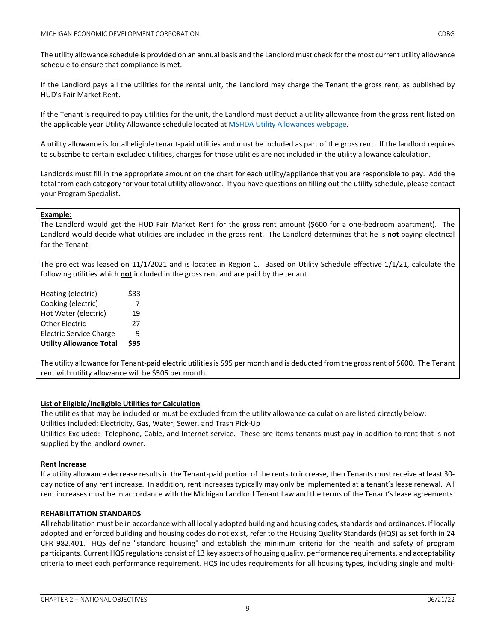The utility allowance schedule is provided on an annual basis and the Landlord must check for the most current utility allowance schedule to ensure that compliance is met.

If the Landlord pays all the utilities for the rental unit, the Landlord may charge the Tenant the gross rent, as published by HUD's Fair Market Rent.

If the Tenant is required to pay utilities for the unit, the Landlord must deduct a utility allowance from the gross rent listed on the applicable year Utility Allowance schedule located a[t MSHDA Utility Allowances webpage.](https://www.michigan.gov/mshda/0,4641,7-141-5555_8002_26576_26578-135005--,00.html)

A utility allowance is for all eligible tenant-paid utilities and must be included as part of the gross rent. If the landlord requires to subscribe to certain excluded utilities, charges for those utilities are not included in the utility allowance calculation.

Landlords must fill in the appropriate amount on the chart for each utility/appliance that you are responsible to pay. Add the total from each category for your total utility allowance. If you have questions on filling out the utility schedule, please contact your Program Specialist.

## **Example:**

The Landlord would get the HUD Fair Market Rent for the gross rent amount (\$600 for a one-bedroom apartment). The Landlord would decide what utilities are included in the gross rent. The Landlord determines that he is **not** paying electrical for the Tenant.

The project was leased on 11/1/2021 and is located in Region C. Based on Utility Schedule effective 1/1/21, calculate the following utilities which **not** included in the gross rent and are paid by the tenant.

| Heating (electric)             | \$33 |
|--------------------------------|------|
| Cooking (electric)             | 7    |
| Hot Water (electric)           | 19   |
| <b>Other Electric</b>          | 27   |
| <b>Electric Service Charge</b> | 9    |
| <b>Utility Allowance Total</b> | \$95 |

The utility allowance for Tenant-paid electric utilities is \$95 per month and is deducted from the gross rent of \$600. The Tenant rent with utility allowance will be \$505 per month.

#### **List of Eligible/Ineligible Utilities for Calculation**

The utilities that may be included or must be excluded from the utility allowance calculation are listed directly below: Utilities Included: Electricity, Gas, Water, Sewer, and Trash Pick-Up

Utilities Excluded: Telephone, Cable, and Internet service. These are items tenants must pay in addition to rent that is not supplied by the landlord owner.

#### **Rent Increase**

If a utility allowance decrease results in the Tenant-paid portion of the rents to increase, then Tenants must receive at least 30 day notice of any rent increase. In addition, rent increases typically may only be implemented at a tenant's lease renewal. All rent increases must be in accordance with the Michigan Landlord Tenant Law and the terms of the Tenant's lease agreements.

#### **REHABILITATION STANDARDS**

All rehabilitation must be in accordance with all locally adopted building and housing codes, standards and ordinances. If locally adopted and enforced building and housing codes do not exist, refer to the Housing Quality Standards (HQS) as set forth in 24 CFR 982.401. HQS define "standard housing" and establish the minimum criteria for the health and safety of program participants. Current HQS regulations consist of 13 key aspects of housing quality, performance requirements, and acceptability criteria to meet each performance requirement. HQS includes requirements for all housing types, including single and multi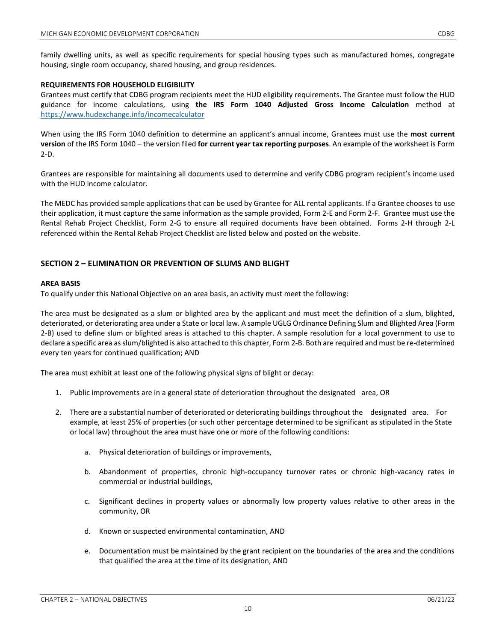family dwelling units, as well as specific requirements for special housing types such as manufactured homes, congregate housing, single room occupancy, shared housing, and group residences.

## **REQUIREMENTS FOR HOUSEHOLD ELIGIBILITY**

Grantees must certify that CDBG program recipients meet the HUD eligibility requirements. The Grantee must follow the HUD guidance for income calculations, using **the IRS Form 1040 Adjusted Gross Income Calculation** method at <https://www.hudexchange.info/incomecalculator>

When using the IRS Form 1040 definition to determine an applicant's annual income, Grantees must use the **most current version** of the IRS Form 1040 – the version filed **for current year tax reporting purposes**. An example of the worksheet is Form 2-D.

Grantees are responsible for maintaining all documents used to determine and verify CDBG program recipient's income used with the HUD income calculator.

The MEDC has provided sample applications that can be used by Grantee for ALL rental applicants. If a Grantee chooses to use their application, it must capture the same information as the sample provided, Form 2-E and Form 2-F. Grantee must use the Rental Rehab Project Checklist, Form 2-G to ensure all required documents have been obtained. Forms 2-H through 2-L referenced within the Rental Rehab Project Checklist are listed below and posted on the website.

## **SECTION 2 – ELIMINATION OR PREVENTION OF SLUMS AND BLIGHT**

#### **AREA BASIS**

To qualify under this National Objective on an area basis, an activity must meet the following:

The area must be designated as a slum or blighted area by the applicant and must meet the definition of a slum, blighted, deteriorated, or deteriorating area under a State or local law. A sample UGLG Ordinance Defining Slum and Blighted Area (Form 2-B) used to define slum or blighted areas is attached to this chapter. A sample resolution for a local government to use to declare a specific area as slum/blighted is also attached to this chapter, Form 2-B. Both are required and must be re-determined every ten years for continued qualification; AND

The area must exhibit at least one of the following physical signs of blight or decay:

- 1. Public improvements are in a general state of deterioration throughout the designated area, OR
- 2. There are a substantial number of deteriorated or deteriorating buildings throughout the designated area. For example, at least 25% of properties (or such other percentage determined to be significant as stipulated in the State or local law) throughout the area must have one or more of the following conditions:
	- a. Physical deterioration of buildings or improvements,
	- b. Abandonment of properties, chronic high-occupancy turnover rates or chronic high-vacancy rates in commercial or industrial buildings,
	- c. Significant declines in property values or abnormally low property values relative to other areas in the community, OR
	- d. Known or suspected environmental contamination, AND
	- e. Documentation must be maintained by the grant recipient on the boundaries of the area and the conditions that qualified the area at the time of its designation, AND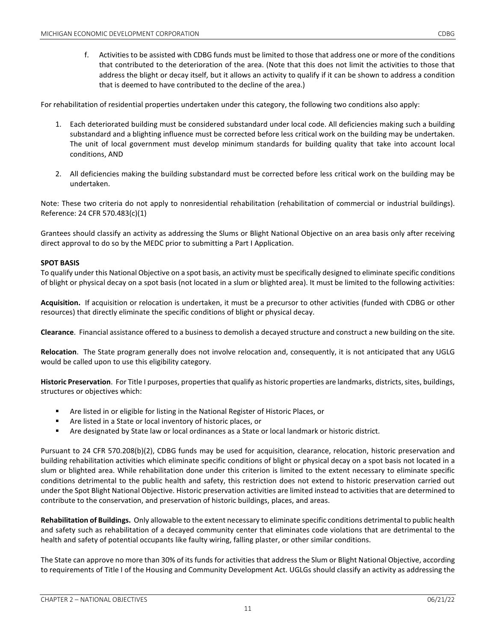f. Activities to be assisted with CDBG funds must be limited to those that address one or more of the conditions that contributed to the deterioration of the area. (Note that this does not limit the activities to those that address the blight or decay itself, but it allows an activity to qualify if it can be shown to address a condition that is deemed to have contributed to the decline of the area.)

For rehabilitation of residential properties undertaken under this category, the following two conditions also apply:

- 1. Each deteriorated building must be considered substandard under local code. All deficiencies making such a building substandard and a blighting influence must be corrected before less critical work on the building may be undertaken. The unit of local government must develop minimum standards for building quality that take into account local conditions, AND
- 2. All deficiencies making the building substandard must be corrected before less critical work on the building may be undertaken.

Note: These two criteria do not apply to nonresidential rehabilitation (rehabilitation of commercial or industrial buildings). Reference: 24 CFR 570.483(c)(1)

Grantees should classify an activity as addressing the Slums or Blight National Objective on an area basis only after receiving direct approval to do so by the MEDC prior to submitting a Part I Application.

#### **SPOT BASIS**

To qualify under this National Objective on a spot basis, an activity must be specifically designed to eliminate specific conditions of blight or physical decay on a spot basis (not located in a slum or blighted area). It must be limited to the following activities:

**Acquisition.** If acquisition or relocation is undertaken, it must be a precursor to other activities (funded with CDBG or other resources) that directly eliminate the specific conditions of blight or physical decay.

**Clearance**. Financial assistance offered to a business to demolish a decayed structure and construct a new building on the site.

**Relocation**. The State program generally does not involve relocation and, consequently, it is not anticipated that any UGLG would be called upon to use this eligibility category.

**Historic Preservation**. For Title I purposes, properties that qualify as historic properties are landmarks, districts, sites, buildings, structures or objectives which:

- Are listed in or eligible for listing in the National Register of Historic Places, or
- Are listed in a State or local inventory of historic places, or
- Are designated by State law or local ordinances as a State or local landmark or historic district.

Pursuant to 24 CFR 570.208(b)(2), CDBG funds may be used for acquisition, clearance, relocation, historic preservation and building rehabilitation activities which eliminate specific conditions of blight or physical decay on a spot basis not located in a slum or blighted area. While rehabilitation done under this criterion is limited to the extent necessary to eliminate specific conditions detrimental to the public health and safety, this restriction does not extend to historic preservation carried out under the Spot Blight National Objective. Historic preservation activities are limited instead to activities that are determined to contribute to the conservation, and preservation of historic buildings, places, and areas.

**Rehabilitation of Buildings.** Only allowable to the extent necessary to eliminate specific conditions detrimental to public health and safety such as rehabilitation of a decayed community center that eliminates code violations that are detrimental to the health and safety of potential occupants like faulty wiring, falling plaster, or other similar conditions.

The State can approve no more than 30% of its funds for activities that address the Slum or Blight National Objective, according to requirements of Title I of the Housing and Community Development Act. UGLGs should classify an activity as addressing the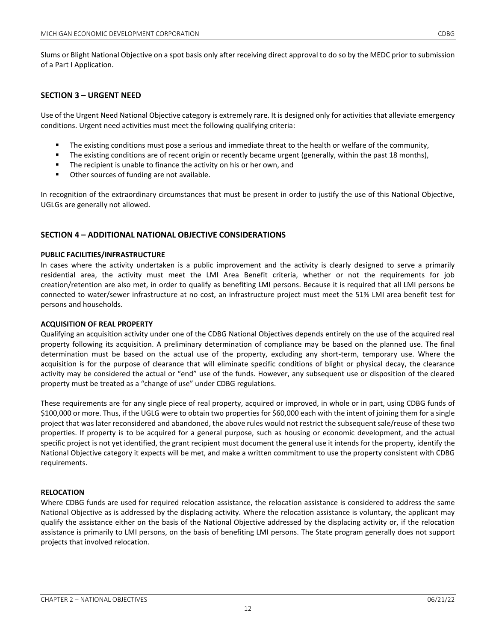## **SECTION 3 – URGENT NEED**

Use of the Urgent Need National Objective category is extremely rare. It is designed only for activities that alleviate emergency conditions. Urgent need activities must meet the following qualifying criteria:

- The existing conditions must pose a serious and immediate threat to the health or welfare of the community,
- The existing conditions are of recent origin or recently became urgent (generally, within the past 18 months),
- The recipient is unable to finance the activity on his or her own, and
- **•** Other sources of funding are not available.

In recognition of the extraordinary circumstances that must be present in order to justify the use of this National Objective, UGLGs are generally not allowed.

## **SECTION 4 – ADDITIONAL NATIONAL OBJECTIVE CONSIDERATIONS**

## **PUBLIC FACILITIES/INFRASTRUCTURE**

In cases where the activity undertaken is a public improvement and the activity is clearly designed to serve a primarily residential area, the activity must meet the LMI Area Benefit criteria, whether or not the requirements for job creation/retention are also met, in order to qualify as benefiting LMI persons. Because it is required that all LMI persons be connected to water/sewer infrastructure at no cost, an infrastructure project must meet the 51% LMI area benefit test for persons and households.

#### **ACQUISITION OF REAL PROPERTY**

Qualifying an acquisition activity under one of the CDBG National Objectives depends entirely on the use of the acquired real property following its acquisition. A preliminary determination of compliance may be based on the planned use. The final determination must be based on the actual use of the property, excluding any short-term, temporary use. Where the acquisition is for the purpose of clearance that will eliminate specific conditions of blight or physical decay, the clearance activity may be considered the actual or "end" use of the funds. However, any subsequent use or disposition of the cleared property must be treated as a "change of use" under CDBG regulations.

These requirements are for any single piece of real property, acquired or improved, in whole or in part, using CDBG funds of \$100,000 or more. Thus, if the UGLG were to obtain two properties for \$60,000 each with the intent of joining them for a single project that was later reconsidered and abandoned, the above rules would not restrict the subsequent sale/reuse of these two properties. If property is to be acquired for a general purpose, such as housing or economic development, and the actual specific project is not yet identified, the grant recipient must document the general use it intends for the property, identify the National Objective category it expects will be met, and make a written commitment to use the property consistent with CDBG requirements.

## **RELOCATION**

Where CDBG funds are used for required relocation assistance, the relocation assistance is considered to address the same National Objective as is addressed by the displacing activity. Where the relocation assistance is voluntary, the applicant may qualify the assistance either on the basis of the National Objective addressed by the displacing activity or, if the relocation assistance is primarily to LMI persons, on the basis of benefiting LMI persons. The State program generally does not support projects that involved relocation.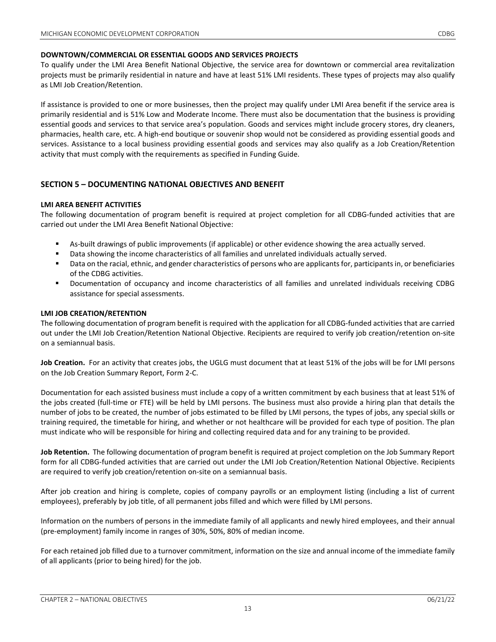To qualify under the LMI Area Benefit National Objective, the service area for downtown or commercial area revitalization projects must be primarily residential in nature and have at least 51% LMI residents. These types of projects may also qualify as LMI Job Creation/Retention.

If assistance is provided to one or more businesses, then the project may qualify under LMI Area benefit if the service area is primarily residential and is 51% Low and Moderate Income. There must also be documentation that the business is providing essential goods and services to that service area's population. Goods and services might include grocery stores, dry cleaners, pharmacies, health care, etc. A high-end boutique or souvenir shop would not be considered as providing essential goods and services. Assistance to a local business providing essential goods and services may also qualify as a Job Creation/Retention activity that must comply with the requirements as specified in Funding Guide.

# **SECTION 5 – DOCUMENTING NATIONAL OBJECTIVES AND BENEFIT**

## **LMI AREA BENEFIT ACTIVITIES**

The following documentation of program benefit is required at project completion for all CDBG-funded activities that are carried out under the LMI Area Benefit National Objective:

- As-built drawings of public improvements (if applicable) or other evidence showing the area actually served.
- Data showing the income characteristics of all families and unrelated individuals actually served.
- Data on the racial, ethnic, and gender characteristics of persons who are applicants for, participants in, or beneficiaries of the CDBG activities.
- Documentation of occupancy and income characteristics of all families and unrelated individuals receiving CDBG assistance for special assessments.

## **LMI JOB CREATION/RETENTION**

The following documentation of program benefit is required with the application for all CDBG-funded activities that are carried out under the LMI Job Creation/Retention National Objective. Recipients are required to verify job creation/retention on-site on a semiannual basis.

**Job Creation.** For an activity that creates jobs, the UGLG must document that at least 51% of the jobs will be for LMI persons on the Job Creation Summary Report, Form 2-C.

Documentation for each assisted business must include a copy of a written commitment by each business that at least 51% of the jobs created (full-time or FTE) will be held by LMI persons. The business must also provide a hiring plan that details the number of jobs to be created, the number of jobs estimated to be filled by LMI persons, the types of jobs, any special skills or training required, the timetable for hiring, and whether or not healthcare will be provided for each type of position. The plan must indicate who will be responsible for hiring and collecting required data and for any training to be provided.

**Job Retention.** The following documentation of program benefit is required at project completion on the Job Summary Report form for all CDBG-funded activities that are carried out under the LMI Job Creation/Retention National Objective. Recipients are required to verify job creation/retention on-site on a semiannual basis.

After job creation and hiring is complete, copies of company payrolls or an employment listing (including a list of current employees), preferably by job title, of all permanent jobs filled and which were filled by LMI persons.

Information on the numbers of persons in the immediate family of all applicants and newly hired employees, and their annual (pre-employment) family income in ranges of 30%, 50%, 80% of median income.

For each retained job filled due to a turnover commitment, information on the size and annual income of the immediate family of all applicants (prior to being hired) for the job.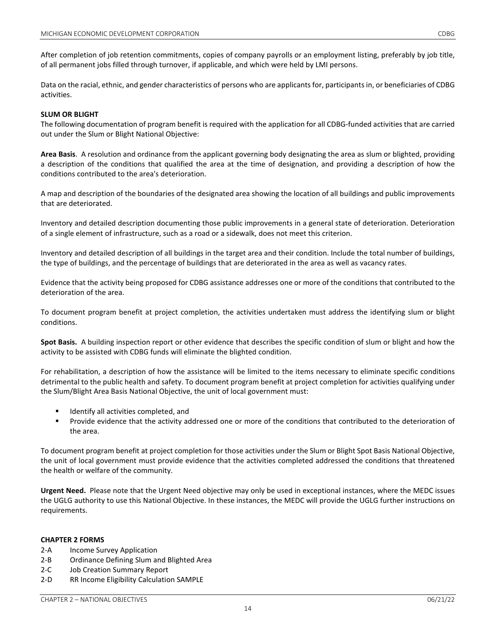After completion of job retention commitments, copies of company payrolls or an employment listing, preferably by job title, of all permanent jobs filled through turnover, if applicable, and which were held by LMI persons.

Data on the racial, ethnic, and gender characteristics of persons who are applicants for, participants in, or beneficiaries of CDBG activities.

#### **SLUM OR BLIGHT**

The following documentation of program benefit is required with the application for all CDBG-funded activities that are carried out under the Slum or Blight National Objective:

**Area Basis**. A resolution and ordinance from the applicant governing body designating the area as slum or blighted, providing a description of the conditions that qualified the area at the time of designation, and providing a description of how the conditions contributed to the area's deterioration.

A map and description of the boundaries of the designated area showing the location of all buildings and public improvements that are deteriorated.

Inventory and detailed description documenting those public improvements in a general state of deterioration. Deterioration of a single element of infrastructure, such as a road or a sidewalk, does not meet this criterion.

Inventory and detailed description of all buildings in the target area and their condition. Include the total number of buildings, the type of buildings, and the percentage of buildings that are deteriorated in the area as well as vacancy rates.

Evidence that the activity being proposed for CDBG assistance addresses one or more of the conditions that contributed to the deterioration of the area.

To document program benefit at project completion, the activities undertaken must address the identifying slum or blight conditions.

**Spot Basis.** A building inspection report or other evidence that describes the specific condition of slum or blight and how the activity to be assisted with CDBG funds will eliminate the blighted condition.

For rehabilitation, a description of how the assistance will be limited to the items necessary to eliminate specific conditions detrimental to the public health and safety. To document program benefit at project completion for activities qualifying under the Slum/Blight Area Basis National Objective, the unit of local government must:

- Identify all activities completed, and
- **Provide evidence that the activity addressed one or more of the conditions that contributed to the deterioration of** the area.

To document program benefit at project completion for those activities under the Slum or Blight Spot Basis National Objective, the unit of local government must provide evidence that the activities completed addressed the conditions that threatened the health or welfare of the community.

**Urgent Need.** Please note that the Urgent Need objective may only be used in exceptional instances, where the MEDC issues the UGLG authority to use this National Objective. In these instances, the MEDC will provide the UGLG further instructions on requirements.

#### **CHAPTER 2 FORMS**

- 2-A Income Survey Application
- 2-B Ordinance Defining Slum and Blighted Area
- 2-C Job Creation Summary Report
- 2-D RR Income Eligibility Calculation SAMPLE